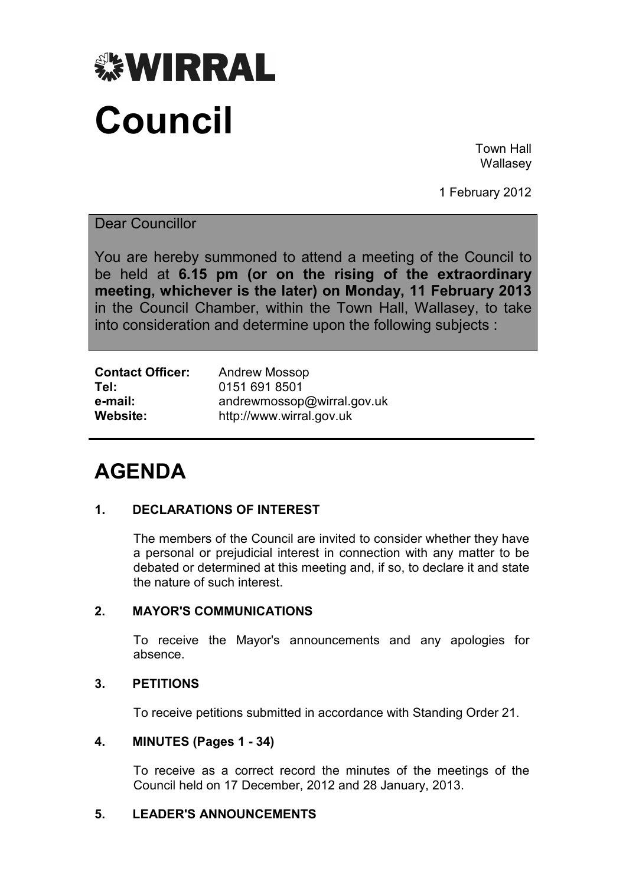

Town Hall Wallasey

1 February 2012

Dear Councillor

You are hereby summoned to attend a meeting of the Council to be held at **6.15 pm (or on the rising of the extraordinary meeting, whichever is the later) on Monday, 11 February 2013** in the Council Chamber, within the Town Hall, Wallasey, to take into consideration and determine upon the following subjects :

| <b>Contact Officer:</b> | <b>Andrew Mossop</b>       |
|-------------------------|----------------------------|
| Tel:                    | 0151 691 8501              |
| e-mail:                 | andrewmossop@wirral.gov.uk |
| Website:                | http://www.wirral.gov.uk   |

# **AGENDA**

# **1. DECLARATIONS OF INTEREST**

 The members of the Council are invited to consider whether they have a personal or prejudicial interest in connection with any matter to be debated or determined at this meeting and, if so, to declare it and state the nature of such interest.

# **2. MAYOR'S COMMUNICATIONS**

 To receive the Mayor's announcements and any apologies for absence.

# **3. PETITIONS**

To receive petitions submitted in accordance with Standing Order 21.

# **4. MINUTES (Pages 1 - 34)**

 To receive as a correct record the minutes of the meetings of the Council held on 17 December, 2012 and 28 January, 2013.

# **5. LEADER'S ANNOUNCEMENTS**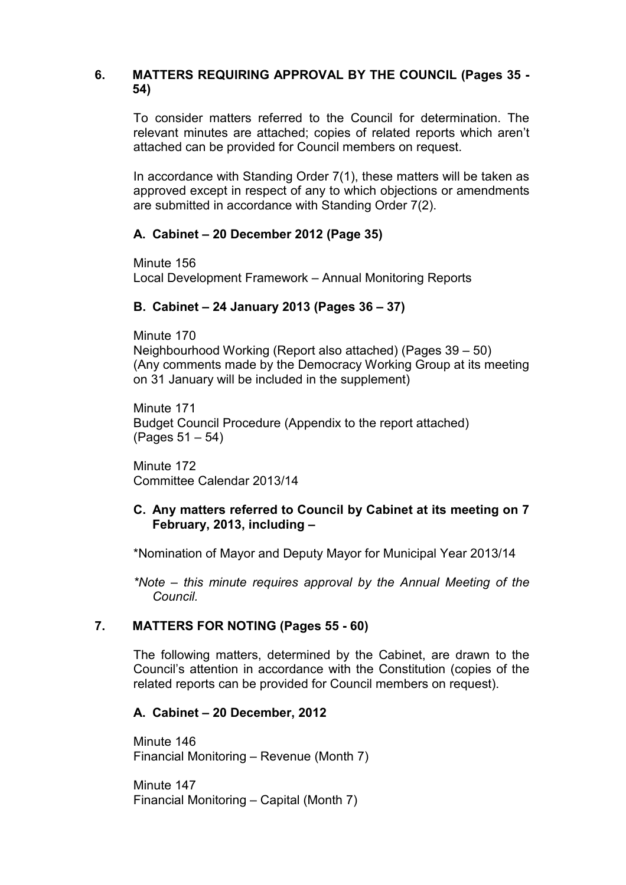## **6. MATTERS REQUIRING APPROVAL BY THE COUNCIL (Pages 35 - 54)**

 To consider matters referred to the Council for determination. The relevant minutes are attached; copies of related reports which aren't attached can be provided for Council members on request.

In accordance with Standing Order 7(1), these matters will be taken as approved except in respect of any to which objections or amendments are submitted in accordance with Standing Order 7(2).

## **A. Cabinet – 20 December 2012 (Page 35)**

Minute 156 Local Development Framework – Annual Monitoring Reports

## **B. Cabinet – 24 January 2013 (Pages 36 – 37)**

Minute 170 Neighbourhood Working (Report also attached) (Pages 39 – 50) (Any comments made by the Democracy Working Group at its meeting on 31 January will be included in the supplement)

Minute 171 Budget Council Procedure (Appendix to the report attached) (Pages 51 – 54)

Minute 172 Committee Calendar 2013/14

#### **C. Any matters referred to Council by Cabinet at its meeting on 7 February, 2013, including –**

\*Nomination of Mayor and Deputy Mayor for Municipal Year 2013/14

*\*Note – this minute requires approval by the Annual Meeting of the Council.*

#### **7. MATTERS FOR NOTING (Pages 55 - 60)**

 The following matters, determined by the Cabinet, are drawn to the Council's attention in accordance with the Constitution (copies of the related reports can be provided for Council members on request).

#### **A. Cabinet – 20 December, 2012**

Minute 146 Financial Monitoring – Revenue (Month 7)

Minute 147 Financial Monitoring – Capital (Month 7)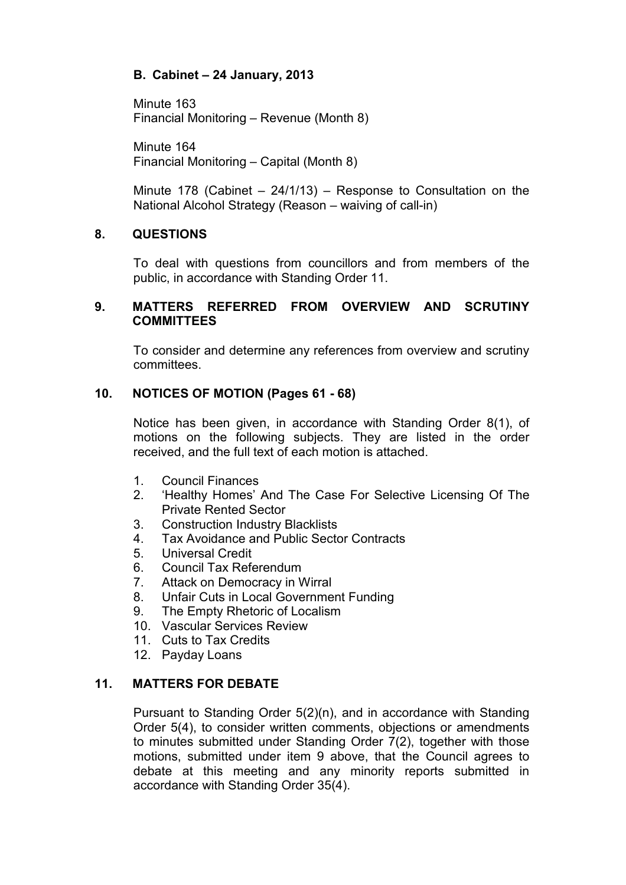# **B. Cabinet – 24 January, 2013**

Minute 163 Financial Monitoring – Revenue (Month 8)

Minute 164 Financial Monitoring – Capital (Month 8)

Minute 178 (Cabinet – 24/1/13) – Response to Consultation on the National Alcohol Strategy (Reason – waiving of call-in)

## **8. QUESTIONS**

 To deal with questions from councillors and from members of the public, in accordance with Standing Order 11.

#### **9. MATTERS REFERRED FROM OVERVIEW AND SCRUTINY COMMITTEES**

 To consider and determine any references from overview and scrutiny committees.

## **10. NOTICES OF MOTION (Pages 61 - 68)**

 Notice has been given, in accordance with Standing Order 8(1), of motions on the following subjects. They are listed in the order received, and the full text of each motion is attached.

- 1. Council Finances
- 2. 'Healthy Homes' And The Case For Selective Licensing Of The Private Rented Sector
- 3. Construction Industry Blacklists
- 4. Tax Avoidance and Public Sector Contracts
- 5. Universal Credit
- 6. Council Tax Referendum
- 7. Attack on Democracy in Wirral
- 8. Unfair Cuts in Local Government Funding
- 9. The Empty Rhetoric of Localism
- 10. Vascular Services Review
- 11 Cuts to Tax Credits
- 12. Payday Loans

#### **11. MATTERS FOR DEBATE**

 Pursuant to Standing Order 5(2)(n), and in accordance with Standing Order 5(4), to consider written comments, objections or amendments to minutes submitted under Standing Order 7(2), together with those motions, submitted under item 9 above, that the Council agrees to debate at this meeting and any minority reports submitted in accordance with Standing Order 35(4).